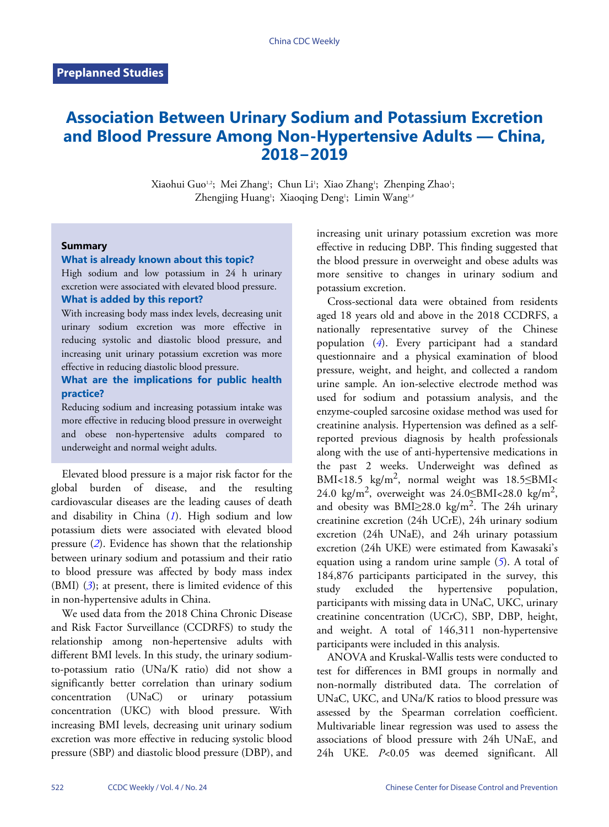# **Association Between Urinary Sodium and Potassium Excretion and Blood Pressure Among Non-Hypertensive Adults — China, 2018−2019**

Xiaohui Guo<sup>1,2</sup>; Mei Zhang<sup>1</sup>; Chun Li<sup>1</sup>; Xiao Zhang<sup>1</sup>; Zhenping Zhao<sup>1</sup>; Zhengjing Huang<sup>1</sup>; Xiaoqing Deng<sup>1</sup>; Limin Wang<sup>1,#</sup>

#### **Summary**

#### **What is already known about this topic?**

High sodium and low potassium in 24 h urinary excretion were associated with elevated blood pressure. **What is added by this report?**

With increasing body mass index levels, decreasing unit urinary sodium excretion was more effective in reducing systolic and diastolic blood pressure, and increasing unit urinary potassium excretion was more effective in reducing diastolic blood pressure.

### **What are the implications for public health practice?**

Reducing sodium and increasing potassium intake was more effective in reducing blood pressure in overweight and obese non-hypertensive adults compared to underweight and normal weight adults.

Elevated blood pressure is a major risk factor for the global burden of disease, and the resulting cardiovascular diseases are the leading causes of death and disability in China (*[1](#page-4-0)*). High sodium and low potassiu[m](#page-4-1) diets were associated with elevated blood pressure (*[2](#page-4-1)*). Evidence has shown that the relationship between urinary sodium and potassium and their ratio to bloo[d](#page-4-2) pressure was affected by body mass index (BMI) (*[3](#page-4-2)*); at present, there is limited evidence of this in non-hypertensive adults in China.

We used data from the 2018 China Chronic Disease and Risk Factor Surveillance (CCDRFS) to study the relationship among non-hepertensive adults with different BMI levels. In this study, the urinary sodiumto-potassium ratio (UNa/K ratio) did not show a significantly better correlation than urinary sodium concentration (UNaC) or urinary potassium concentration (UKC) with blood pressure. With increasing BMI levels, decreasing unit urinary sodium excretion was more effective in reducing systolic blood pressure (SBP) and diastolic blood pressure (DBP), and

increasing unit urinary potassium excretion was more effective in reducing DBP. This finding suggested that the blood pressure in overweight and obese adults was more sensitive to changes in urinary sodium and potassium excretion.

Cross-sectional data were obtained from residents aged 18 years old and above in the 2018 CCDRFS, a nationally representative survey of the Chinese population (*[4](#page-4-3)*). Every participant had a standard questionnaire and a physical examination of blood pressure, weight, and height, and collected a random urine sample. An ion-selective electrode method was used for sodium and potassium analysis, and the enzyme-coupled sarcosine oxidase method was used for creatinine analysis. Hypertension was defined as a selfreported previous diagnosis by health professionals along with the use of anti-hypertensive medications in the past 2 weeks. Underweight was defined as BMI<18.5 kg/m<sup>2</sup>, normal weight was 18.5≤BMI< 24.0 kg/m<sup>2</sup>, overweight was  $24.0 \leq BMI < 28.0$  kg/m<sup>2</sup>, and obesity was  $BMI \geq 28.0 \text{ kg/m}^2$ . The 24h urinary creatinine excretion (24h UCrE), 24h urinary sodium excretion (24h UNaE), and 24h urinary potassium excretion (24h UKE) were estimated fro[m](#page-4-4) Kawasaki's equation using a random urine sample (*[5](#page-4-4)*). A total of 184,876 participants participated in the survey, this study excluded the hypertensive population, participants with missing data in UNaC, UKC, urinary creatinine concentration (UCrC), SBP, DBP, height, and weight. A total of 146,311 non-hypertensive participants were included in this analysis.

ANOVA and Kruskal-Wallis tests were conducted to test for differences in BMI groups in normally and non-normally distributed data. The correlation of UNaC, UKC, and UNa/K ratios to blood pressure was assessed by the Spearman correlation coefficient. Multivariable linear regression was used to assess the associations of blood pressure with 24h UNaE, and 24h UKE. *P*<0.05 was deemed significant. All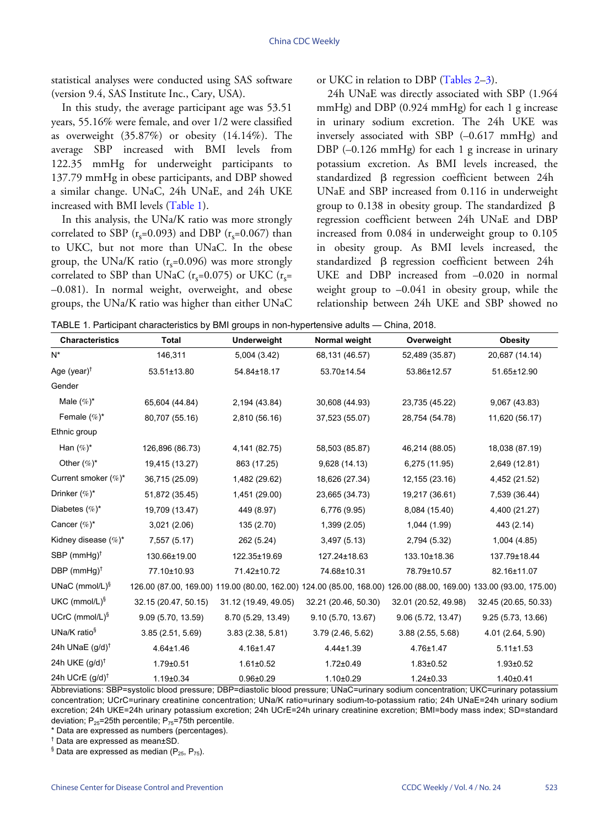statistical analyses were conducted using SAS software (version 9.4, SAS Institute Inc., Cary, USA).

In this study, the average participant age was 53.51 years, 55.16% were female, and over 1/2 were classified as overweight (35.87%) or obesity (14.14%). The average SBP increased with BMI levels from 122.35 mmHg for underweight participants to 137.79 mmHg in obese participants, and DBP showed a similar change. UNaC, [24h UN](#page-1-0)aE, and 24h UKE increased with BMI levels [\(Table 1\)](#page-1-0).

In this analysis, the UNa/K ratio was more strongly correlated to SBP ( $r<sub>s</sub>=0.093$ ) and DBP ( $r<sub>s</sub>=0.067$ ) than to UKC, but not more than UNaC. In the obese group, the UNa/K ratio ( $r<sub>s</sub>=0.096$ ) was more strongly correlated to SBP than UNaC ( $r_s$ =0.075) or UKC ( $r_s$ = –0.081). In normal weight, overweight, and obese groups, the UNa/K ratio was higher than either UNaC

or UKC in relation to DBP ([Tables 2](#page-2-0)–[3](#page-2-1)).

24h UNaE was directly associated with SBP (1.964 mmHg) and DBP (0.924 mmHg) for each 1 g increase in urinary sodium excretion. The 24h UKE was inversely associated with SBP (–0.617 mmHg) and DBP (–0.126 mmHg) for each 1 g increase in urinary potassium excretion. As BMI levels increased, the standardized β regression coefficient between 24h UNaE and SBP increased from 0.116 in underweight group to 0.138 in obesity group. The standardized β regression coefficient between 24h UNaE and DBP increased from 0.084 in underweight group to 0.105 in obesity group. As BMI levels increased, the standardized β regression coefficient between 24h UKE and DBP increased from –0.020 in normal weight group to  $-0.041$  in obesity group, while the relationship between 24h UKE and SBP showed no

<span id="page-1-0"></span>TABLE 1. Participant characteristics by BMI groups in non-hypertensive adults — China, 2018.

| <b>Characteristics</b>                     | TABLE 1. Family paint Characteristics by Bivil groups in Holf-Hypertensive addits — China, 2010.<br><b>Total</b> | Underweight          | Normal weight        | Overweight                                                                                                         | <b>Obesity</b>       |
|--------------------------------------------|------------------------------------------------------------------------------------------------------------------|----------------------|----------------------|--------------------------------------------------------------------------------------------------------------------|----------------------|
| $N^*$                                      | 146,311                                                                                                          | 5,004 (3.42)         | 68,131 (46.57)       | 52,489 (35.87)                                                                                                     | 20,687 (14.14)       |
| Age (year) $†$                             | 53.51±13.80                                                                                                      | 54.84±18.17          | 53.70±14.54          | 53.86±12.57                                                                                                        | 51.65±12.90          |
| Gender                                     |                                                                                                                  |                      |                      |                                                                                                                    |                      |
| Male $(\%)^*$                              | 65,604 (44.84)                                                                                                   | 2,194 (43.84)        | 30,608 (44.93)       | 23,735 (45.22)                                                                                                     | 9,067 (43.83)        |
| Female $(\%)^*$                            | 80,707 (55.16)                                                                                                   | 2,810 (56.16)        | 37,523 (55.07)       | 28,754 (54.78)                                                                                                     | 11,620 (56.17)       |
| Ethnic group                               |                                                                                                                  |                      |                      |                                                                                                                    |                      |
| Han $(\%)^*$                               | 126,896 (86.73)                                                                                                  | 4,141 (82.75)        | 58,503 (85.87)       | 46,214 (88.05)                                                                                                     | 18,038 (87.19)       |
| Other $(\%)^*$                             | 19,415 (13.27)                                                                                                   | 863 (17.25)          | 9,628 (14.13)        | 6,275 (11.95)                                                                                                      | 2,649 (12.81)        |
| Current smoker (%)*                        | 36,715 (25.09)                                                                                                   | 1,482 (29.62)        | 18,626 (27.34)       | 12,155 (23.16)                                                                                                     | 4,452 (21.52)        |
| Drinker $(\%)^*$                           | 51,872 (35.45)                                                                                                   | 1,451 (29.00)        | 23,665 (34.73)       | 19,217 (36.61)                                                                                                     | 7,539 (36.44)        |
| Diabetes $(\%)^*$                          | 19,709 (13.47)                                                                                                   | 449 (8.97)           | 6,776 (9.95)         | 8,084 (15.40)                                                                                                      | 4,400 (21.27)        |
| Cancer $(\%)^*$                            | 3,021 (2.06)                                                                                                     | 135 (2.70)           | 1,399 (2.05)         | 1,044 (1.99)                                                                                                       | 443 (2.14)           |
| Kidney disease $(\%)^*$                    | 7,557 (5.17)                                                                                                     | 262 (5.24)           | 3,497 (5.13)         | 2,794 (5.32)                                                                                                       | 1,004 (4.85)         |
| SBP (mmHg) <sup><math>\dagger</math></sup> | 130.66±19.00                                                                                                     | 122.35±19.69         | 127.24±18.63         | 133.10±18.36                                                                                                       | 137.79±18.44         |
| DBP (mmHg) <sup>†</sup>                    | 77.10±10.93                                                                                                      | 71.42±10.72          | 74.68±10.31          | 78.79±10.57                                                                                                        | 82.16±11.07          |
| UNaC (mmol/L) $\frac{5}{3}$                |                                                                                                                  |                      |                      | 126.00 (87.00, 169.00) 119.00 (80.00, 162.00) 124.00 (85.00, 168.00) 126.00 (88.00, 169.00) 133.00 (93.00, 175.00) |                      |
| UKC (mmol/L) $\frac{5}{3}$                 | 32.15 (20.47, 50.15)                                                                                             | 31.12 (19.49, 49.05) | 32.21 (20.46, 50.30) | 32.01 (20.52, 49.98)                                                                                               | 32.45 (20.65, 50.33) |
| UCrC (mmol/L) $\frac{5}{3}$                | 9.09 (5.70, 13.59)                                                                                               | 8.70 (5.29, 13.49)   | 9.10(5.70, 13.67)    | 9.06(5.72, 13.47)                                                                                                  | 9.25(5.73, 13.66)    |
| UNa/K ratio $\frac{1}{3}$                  | 3.85(2.51, 5.69)                                                                                                 | 3.83(2.38, 5.81)     | 3.79(2.46, 5.62)     | 3.88(2.55, 5.68)                                                                                                   | 4.01 (2.64, 5.90)    |
| 24h UNaE (g/d) <sup>†</sup>                | $4.64 \pm 1.46$                                                                                                  | $4.16 \pm 1.47$      | $4.44 \pm 1.39$      | 4.76±1.47                                                                                                          | $5.11 \pm 1.53$      |
| 24h UKE $(g/d)^{\dagger}$                  | $1.79 \pm 0.51$                                                                                                  | $1.61 \pm 0.52$      | $1.72 \pm 0.49$      | $1.83 \pm 0.52$                                                                                                    | $1.93 \pm 0.52$      |
| 24h UCrE (g/d) <sup>†</sup>                | $1.19 \pm 0.34$                                                                                                  | $0.96 \pm 0.29$      | $1.10 \pm 0.29$      | $1.24 \pm 0.33$                                                                                                    | $1.40 \pm 0.41$      |

Abbreviations: SBP=systolic blood pressure; DBP=diastolic blood pressure; UNaC=urinary sodium concentration; UKC=urinary potassium concentration; UCrC=urinary creatinine concentration; UNa/K ratio=urinary sodium-to-potassium ratio; 24h UNaE=24h urinary sodium excretion; 24h UKE=24h urinary potassium excretion; 24h UCrE=24h urinary creatinine excretion; BMI=body mass index; SD=standard deviation;  $P_{25}$ =25th percentile;  $P_{75}$ =75th percentile.

\* Data are expressed as numbers (percentages).

† Data are expressed as mean±SD.

 $\frac{8}{3}$  Data are expressed as median (P<sub>25</sub>, P<sub>75</sub>).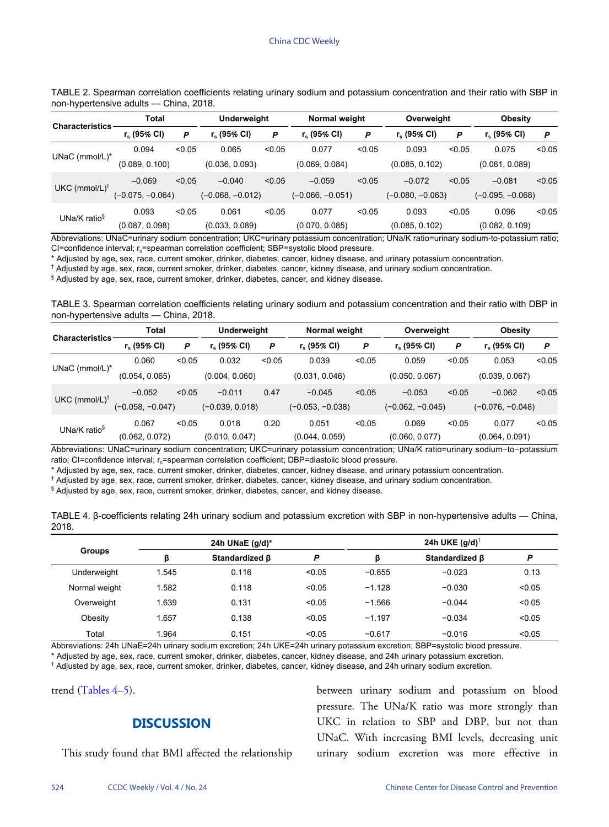<span id="page-2-0"></span>

| TABLE 2. Spearman correlation coefficients relating urinary sodium and potassium concentration and their ratio with SBP in |  |  |  |  |  |  |
|----------------------------------------------------------------------------------------------------------------------------|--|--|--|--|--|--|
| non-hypertensive adults — China, 2018.                                                                                     |  |  |  |  |  |  |

| Characteristics             | Total              |        | Underweight        |        | Normal weight      |        | Overweight         |        | <b>Obesity</b>     |        |
|-----------------------------|--------------------|--------|--------------------|--------|--------------------|--------|--------------------|--------|--------------------|--------|
|                             | $r_s$ (95% CI)     | P      | $r_s$ (95% CI)     | P      | $r_s$ (95% CI)     | P      | $r_s$ (95% CI)     | P      | $r_s$ (95% CI)     | P      |
| UNaC ( $mmol/L$ )*          | 0.094              | < 0.05 | 0.065              | < 0.05 | 0.077              | < 0.05 | 0.093              | < 0.05 | 0.075              | < 0.05 |
|                             | (0.089, 0.100)     |        | (0.036, 0.093)     |        | (0.069, 0.084)     |        | (0.085, 0.102)     |        | (0.061, 0.089)     |        |
| $UKC$ (mmol/L) <sup>†</sup> | $-0.069$           | < 0.05 | $-0.040$           | < 0.05 | $-0.059$           | < 0.05 | $-0.072$           | < 0.05 | $-0.081$           | < 0.05 |
|                             | $(-0.075, -0.064)$ |        | $(-0.068, -0.012)$ |        | $(-0.066, -0.051)$ |        | $(-0.080, -0.063)$ |        | $(-0.095, -0.068)$ |        |
| UNa/K ratio $\frac{1}{3}$   | 0.093              | < 0.05 | 0.061              | < 0.05 | 0.077              | < 0.05 | 0.093              | < 0.05 | 0.096              | < 0.05 |
|                             | (0.087, 0.098)     |        | (0.033, 0.089)     |        | (0.070, 0.085)     |        | (0.085, 0.102)     |        | (0.082, 0.109)     |        |

Abbreviations: UNaC=urinary sodium concentration; UKC=urinary potassium concentration; UNa/K ratio=urinary sodium-to-potassium ratio; CI=confidence interval; r<sub>s</sub>=spearman correlation coefficient; SBP=systolic blood pressure.

\* Adjusted by age, sex, race, current smoker, drinker, diabetes, cancer, kidney disease, and urinary potassium concentration.

† Adjusted by age, sex, race, current smoker, drinker, diabetes, cancer, kidney disease, and urinary sodium concentration.

§ Adjusted by age, sex, race, current smoker, drinker, diabetes, cancer, and kidney disease.

<span id="page-2-1"></span>TABLE 3. Spearman correlation coefficients relating urinary sodium and potassium concentration and their ratio with DBP in non-hypertensive adults — China, 2018.

| <b>Characteristics</b>    | <b>Total</b>     |        | Underweight       |        | Normal weight      |        | Overweight         |        | <b>Obesity</b>     |        |
|---------------------------|------------------|--------|-------------------|--------|--------------------|--------|--------------------|--------|--------------------|--------|
|                           | $r_s$ (95% CI)   | Ρ      | r. (95% CI)       | P      | $r_s$ (95% CI)     | P      | $r_s$ (95% CI)     | P      | $r_s$ (95% CI)     | P      |
| UNaC (mmol/L)*            | 0.060            | < 0.05 | 0.032             | < 0.05 | 0.039              | < 0.05 | 0.059              | < 0.05 | 0.053              | < 0.05 |
|                           | (0.054, 0.065)   |        | (0.004, 0.060)    |        | (0.031, 0.046)     |        | (0.050, 0.067)     |        | (0.039, 0.067)     |        |
| UKC $(mmol/L)^{\dagger}$  | $-0.052$         | < 0.05 | $-0.011$          | 0.47   | $-0.045$           | < 0.05 | $-0.053$           | < 0.05 | $-0.062$           | < 0.05 |
|                           | (-0.058, -0.047) |        | $(-0.039, 0.018)$ |        | $(-0.053, -0.038)$ |        | $(-0.062, -0.045)$ |        | $(-0.076, -0.048)$ |        |
| UNa/K ratio $\frac{1}{3}$ | 0.067            | < 0.05 | 0.018             | 0.20   | 0.051              | < 0.05 | 0.069              | < 0.05 | 0.077              | < 0.05 |
|                           | (0.062, 0.072)   |        | (0.010, 0.047)    |        | (0.044, 0.059)     |        | (0.060, 0.077)     |        | (0.064, 0.091)     |        |

Abbreviations: UNaC=urinary sodium concentration; UKC=urinary potassium concentration; UNa/K ratio=urinary sodium−to−potassium ratio; CI=confidence interval; r<sub>s</sub>=spearman correlation coefficient; DBP=diastolic blood pressure.

\* Adjusted by age, sex, race, current smoker, drinker, diabetes, cancer, kidney disease, and urinary potassium concentration.

† Adjusted by age, sex, race, current smoker, drinker, diabetes, cancer, kidney disease, and urinary sodium concentration.

§ Adjusted by age, sex, race, current smoker, drinker, diabetes, cancer, and kidney disease.

<span id="page-2-2"></span>

|       |  |  |  | TABLE 4. β-coefficients relating 24h urinary sodium and potassium excretion with SBP in non-hypertensive adults — China, |  |
|-------|--|--|--|--------------------------------------------------------------------------------------------------------------------------|--|
| 2018. |  |  |  |                                                                                                                          |  |

| <b>Groups</b> |       | 24h UNaE $(q/d)^*$   |        | 24h UKE $(g/d)^{\dagger}$ |                       |        |  |  |  |
|---------------|-------|----------------------|--------|---------------------------|-----------------------|--------|--|--|--|
|               | ß     | Standardized $\beta$ | P      | ß                         | Standardized <b>B</b> | P      |  |  |  |
| Underweight   | 1.545 | 0.116                | < 0.05 | $-0.855$                  | $-0.023$              | 0.13   |  |  |  |
| Normal weight | 1.582 | 0.118                | < 0.05 | $-1.128$                  | $-0.030$              | < 0.05 |  |  |  |
| Overweight    | 1.639 | 0.131                | < 0.05 | $-1.566$                  | $-0.044$              | < 0.05 |  |  |  |
| Obesity       | 1.657 | 0.138                | < 0.05 | $-1.197$                  | $-0.034$              | < 0.05 |  |  |  |
| Total         | 1.964 | 0.151                | < 0.05 | $-0.617$                  | $-0.016$              | < 0.05 |  |  |  |

Abbreviations: 24h UNaE=24h urinary sodium excretion; 24h UKE=24h urinary potassium excretion; SBP=systolic blood pressure.

\* Adjusted by age, sex, race, current smoker, drinker, diabetes, cancer, kidney disease, and 24h urinary potassium excretion.

† Adjusted by age, sex, race, current smoker, drinker, diabetes, cancer, kidney disease, and 24h urinary sodium excretion.

trend [\(Tables 4](#page-2-2)–[5](#page-3-0)).

## **DISCUSSION**

This study found that BMI affected the relationship

between urinary sodium and potassium on blood pressure. The UNa/K ratio was more strongly than UKC in relation to SBP and DBP, but not than UNaC. With increasing BMI levels, decreasing unit urinary sodium excretion was more effective in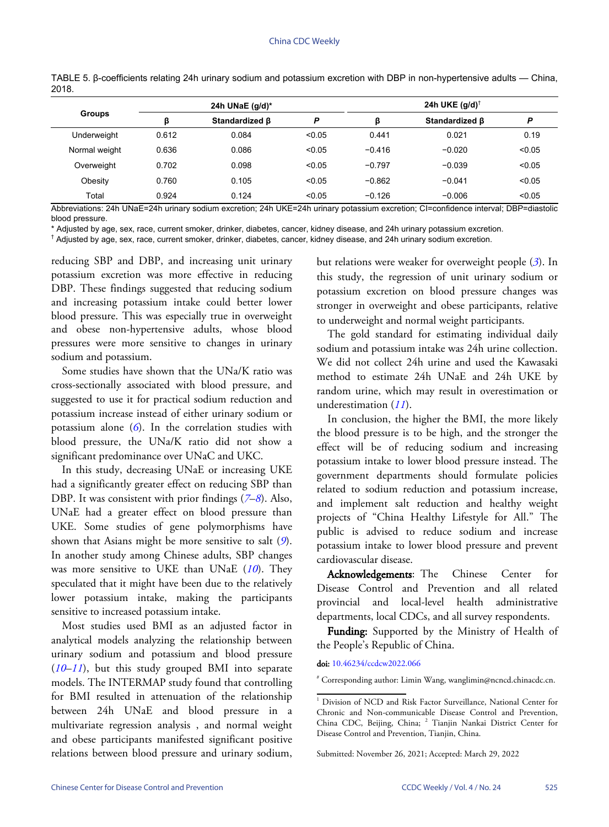| <b>Groups</b> |       | 24h UNaE $(g/d)^*$ |        | 24h UKE $(q/d)^\dagger$ |                |        |  |
|---------------|-------|--------------------|--------|-------------------------|----------------|--------|--|
|               | ß     | Standardized B     | P      | ß                       | Standardized B | P      |  |
| Underweight   | 0.612 | 0.084              | < 0.05 | 0.441                   | 0.021          | 0.19   |  |
| Normal weight | 0.636 | 0.086              | < 0.05 | $-0.416$                | $-0.020$       | < 0.05 |  |
| Overweight    | 0.702 | 0.098              | < 0.05 | $-0.797$                | $-0.039$       | < 0.05 |  |
| Obesity       | 0.760 | 0.105              | < 0.05 | $-0.862$                | $-0.041$       | < 0.05 |  |
| Total         | 0.924 | 0.124              | < 0.05 | $-0.126$                | $-0.006$       | < 0.05 |  |

<span id="page-3-0"></span>TABLE 5. β-coefficients relating 24h urinary sodium and potassium excretion with DBP in non-hypertensive adults — China, 2018.

Abbreviations: 24h UNaE=24h urinary sodium excretion; 24h UKE=24h urinary potassium excretion; CI=confidence interval; DBP=diastolic blood pressure.

\* Adjusted by age, sex, race, current smoker, drinker, diabetes, cancer, kidney disease, and 24h urinary potassium excretion.

† Adjusted by age, sex, race, current smoker, drinker, diabetes, cancer, kidney disease, and 24h urinary sodium excretion.

reducing SBP and DBP, and increasing unit urinary potassium excretion was more effective in reducing DBP. These findings suggested that reducing sodium and increasing potassium intake could better lower blood pressure. This was especially true in overweight and obese non-hypertensive adults, whose blood pressures were more sensitive to changes in urinary sodium and potassium.

Some studies have shown that the UNa/K ratio was cross-sectionally associated with blood pressure, and suggested to use it for practical sodium reduction and potassium increase instead of either urinary sodium or potassium alone ([6](#page-4-5)). In the correlation studies with blood pressure, the UNa/K ratio did not show a significant predominance over UNaC and UKC.

In this study, decreasing UNaE or increasing UKE had a significantly greater effect on reducin[g](#page-4-6) [SB](#page-4-7)P than DBP. It was consistent with prior findings (*[7](#page-4-6)*–*[8](#page-4-7)*). Also, UNaE had a greater effect on blood pressure than UKE. Some studies of gene polymorphisms h[av](#page-4-8)e shown that Asians might be more sensitive to salt (*[9](#page-4-8)*). In another study among Chinese adults, S[BP](#page-4-9) changes was more sensitive to UKE than UNaE ([10](#page-4-9)). They speculated that it might have been due to the relatively lower potassium intake, making the participants sensitive to increased potassium intake.

Most studies used BMI as an adjusted factor in analytical models analyzing the relationship between [urin](#page-4-9)[ary](#page-4-10) sodium and potassium and blood pressure (*[10](#page-4-9)*–*[11](#page-4-10)*), but this study grouped BMI into separate models. The INTERMAP study found that controlling for BMI resulted in attenuation of the relationship between 24h UNaE and blood pressure in a multivariate regression analysis , and normal weight and obese participants manifested significant positive relations between blood pressure and urinary sodium,

but relations were weaker for overweight people (*[3](#page-4-2)*). In this study, the regression of unit urinary sodium or potassium excretion on blood pressure changes was stronger in overweight and obese participants, relative to underweight and normal weight participants.

The gold standard for estimating individual daily sodium and potassium intake was 24h urine collection. We did not collect 24h urine and used the Kawasaki method to estimate 24h UNaE and 24h UKE by random urine, w[hic](#page-4-10)h may result in overestimation or underestimation (*[11](#page-4-10)*).

In conclusion, the higher the BMI, the more likely the blood pressure is to be high, and the stronger the effect will be of reducing sodium and increasing potassium intake to lower blood pressure instead. The government departments should formulate policies related to sodium reduction and potassium increase, and implement salt reduction and healthy weight projects of "China Healthy Lifestyle for All." The public is advised to reduce sodium and increase potassium intake to lower blood pressure and prevent cardiovascular disease.

Acknowledgements: The Chinese Center for Disease Control and Prevention and all related provincial and local-level health administrative departments, local CDCs, and all survey respondents.

Funding: Supported by the Ministry of Health of the [People's Republic of](https://doi.org/10.46234/ccdcw2022.066) China.

doi: [10.46234/ccdcw2022.066](https://doi.org/10.46234/ccdcw2022.066)

# Corresponding author: Limin Wang, wanglimin@ncncd.chinacdc.cn.

<sup>&</sup>lt;sup>1</sup> Division of NCD and Risk Factor Surveillance, National Center for Chronic and Non-communicable Disease Control and Prevention, China CDC, Beijing, China; <sup>2</sup> Tianjin Nankai District Center for Disease Control and Prevention, Tianjin, China.

Submitted: November 26, 2021; Accepted: March 29, 2022